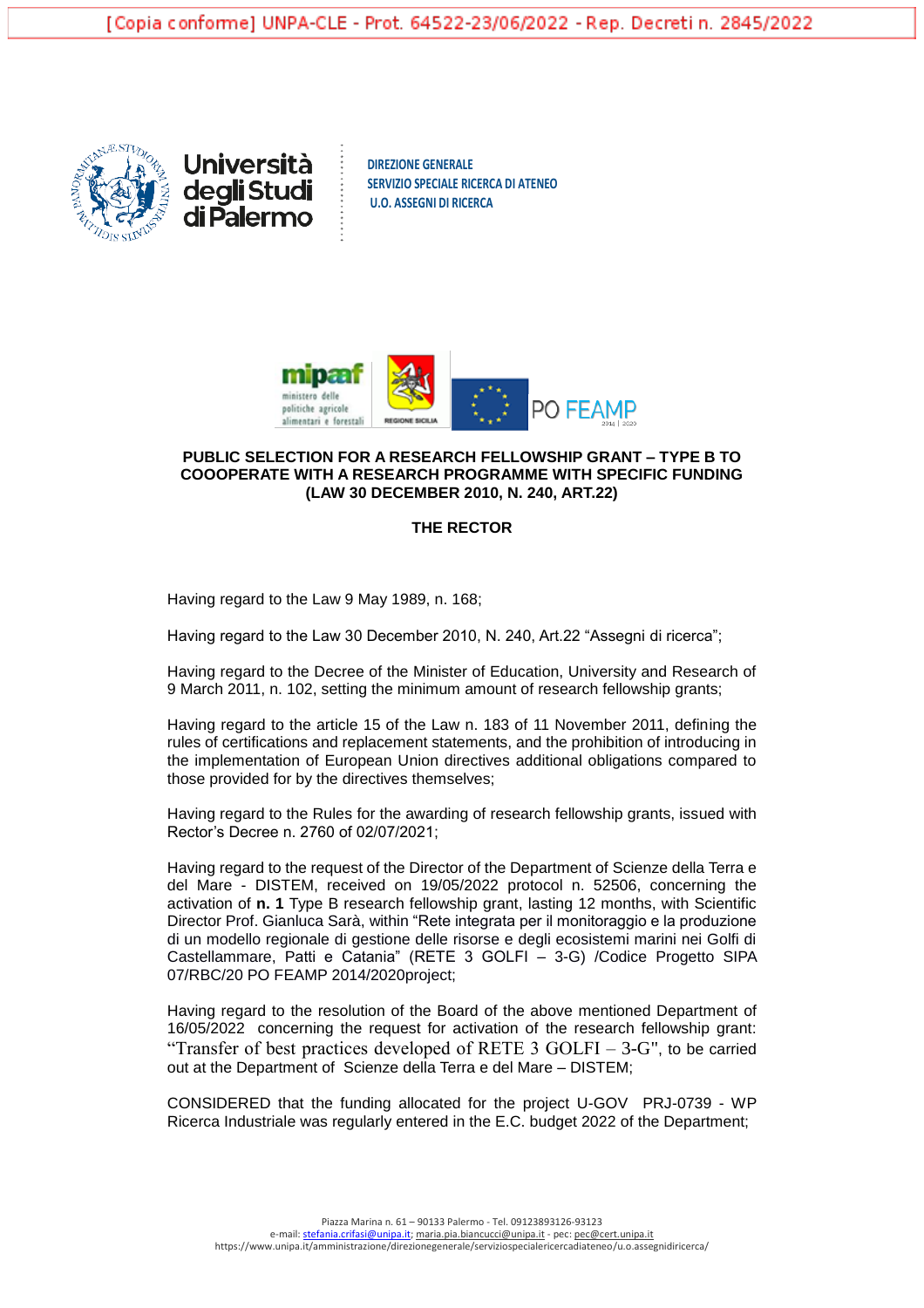





## **PUBLIC SELECTION FOR A RESEARCH FELLOWSHIP GRANT – TYPE B TO COOOPERATE WITH A RESEARCH PROGRAMME WITH SPECIFIC FUNDING (LAW 30 DECEMBER 2010, N. 240, ART.22)**

## **THE RECTOR**

Having regard to the Law 9 May 1989, n. 168;

Having regard to the Law 30 December 2010, N. 240, Art.22 "Assegni di ricerca";

Having regard to the Decree of the Minister of Education, University and Research of 9 March 2011, n. 102, setting the minimum amount of research fellowship grants;

Having regard to the article 15 of the Law n. 183 of 11 November 2011, defining the rules of certifications and replacement statements, and the prohibition of introducing in the implementation of European Union directives additional obligations compared to those provided for by the directives themselves;

Having regard to the Rules for the awarding of research fellowship grants, issued with Rector's Decree n. 2760 of 02/07/2021;

Having regard to the request of the Director of the Department of Scienze della Terra e del Mare - DISTEM, received on 19/05/2022 protocol n. 52506, concerning the activation of **n. 1** Type B research fellowship grant, lasting 12 months, with Scientific Director Prof. Gianluca Sarà, within "Rete integrata per il monitoraggio e la produzione di un modello regionale di gestione delle risorse e degli ecosistemi marini nei Golfi di Castellammare, Patti e Catania" (RETE 3 GOLFI – 3-G) /Codice Progetto SIPA 07/RBC/20 PO FEAMP 2014/2020project;

Having regard to the resolution of the Board of the above mentioned Department of 16/05/2022 concerning the request for activation of the research fellowship grant: "Transfer of best practices developed of RETE  $3$  GOLFI –  $3$ -G", to be carried out at the Department of Scienze della Terra e del Mare – DISTEM;

CONSIDERED that the funding allocated for the project U-GOV PRJ-0739 - WP Ricerca Industriale was regularly entered in the E.C. budget 2022 of the Department;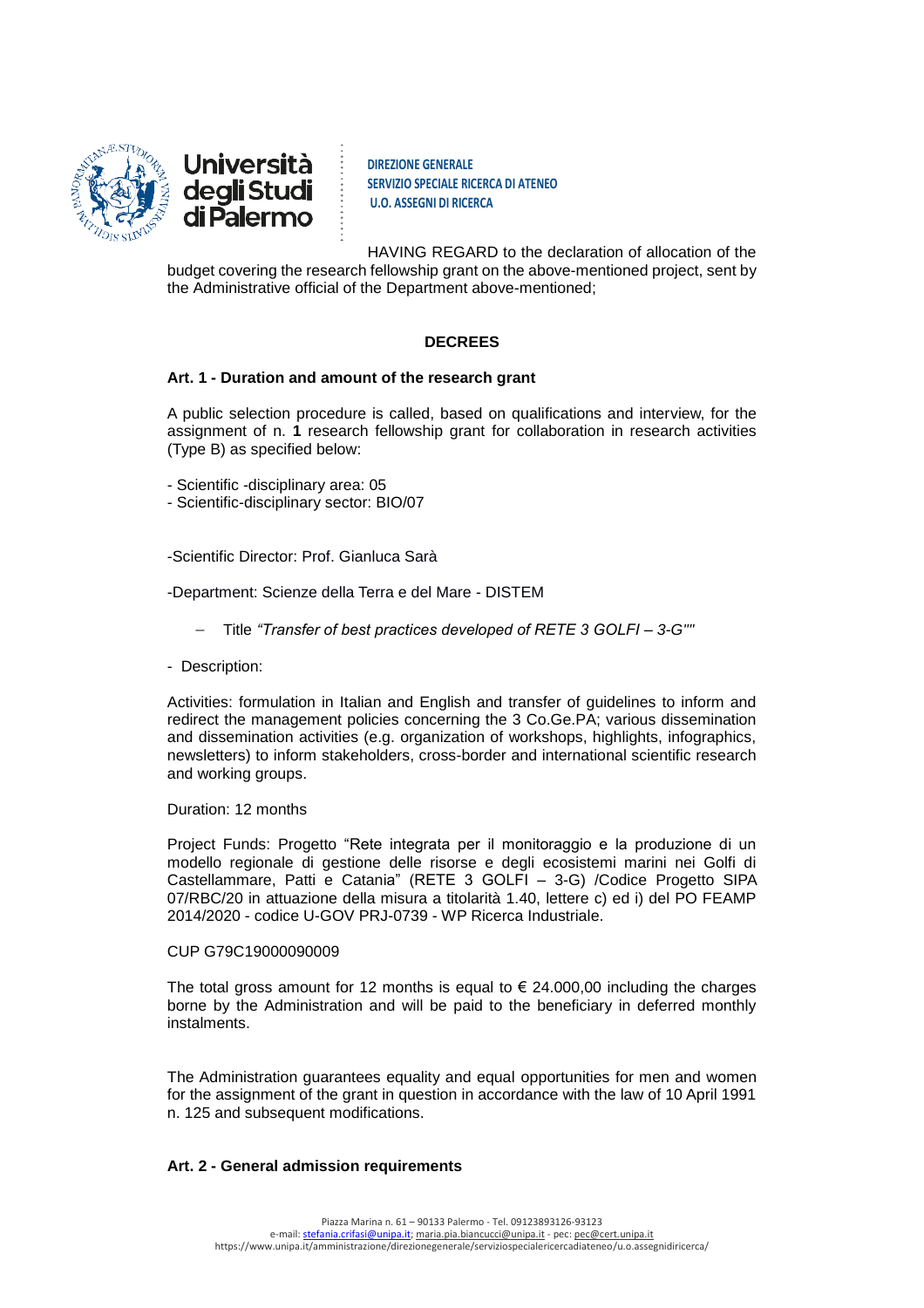

**DIREZIONE GENERALE SERVIZIO SPECIALE RICERCA DI ATENEO U.O. ASSEGNI DI RICERCA**

HAVING REGARD to the declaration of allocation of the budget covering the research fellowship grant on the above-mentioned project, sent by the Administrative official of the Department above-mentioned;

# **DECREES**

# **Art. 1 - Duration and amount of the research grant**

A public selection procedure is called, based on qualifications and interview, for the assignment of n. **1** research fellowship grant for collaboration in research activities (Type B) as specified below:

- Scientific -disciplinary area: 05
- Scientific-disciplinary sector: BIO/07
- -Scientific Director: Prof. Gianluca Sarà
- -Department: Scienze della Terra e del Mare DISTEM
	- Title *"Transfer of best practices developed of RETE 3 GOLFI – 3-G""*
- Description:

Activities: formulation in Italian and English and transfer of guidelines to inform and redirect the management policies concerning the 3 Co.Ge.PA; various dissemination and dissemination activities (e.g. organization of workshops, highlights, infographics, newsletters) to inform stakeholders, cross-border and international scientific research and working groups.

## Duration: 12 months

Project Funds: Progetto "Rete integrata per il monitoraggio e la produzione di un modello regionale di gestione delle risorse e degli ecosistemi marini nei Golfi di Castellammare, Patti e Catania" (RETE 3 GOLFI – 3-G) /Codice Progetto SIPA 07/RBC/20 in attuazione della misura a titolarità 1.40, lettere c) ed i) del PO FEAMP 2014/2020 - codice U-GOV PRJ-0739 - WP Ricerca Industriale.

### CUP G79C19000090009

The total gross amount for 12 months is equal to  $\epsilon$  24.000,00 including the charges borne by the Administration and will be paid to the beneficiary in deferred monthly instalments.

The Administration guarantees equality and equal opportunities for men and women for the assignment of the grant in question in accordance with the law of 10 April 1991 n. 125 and subsequent modifications.

### **Art. 2 - General admission requirements**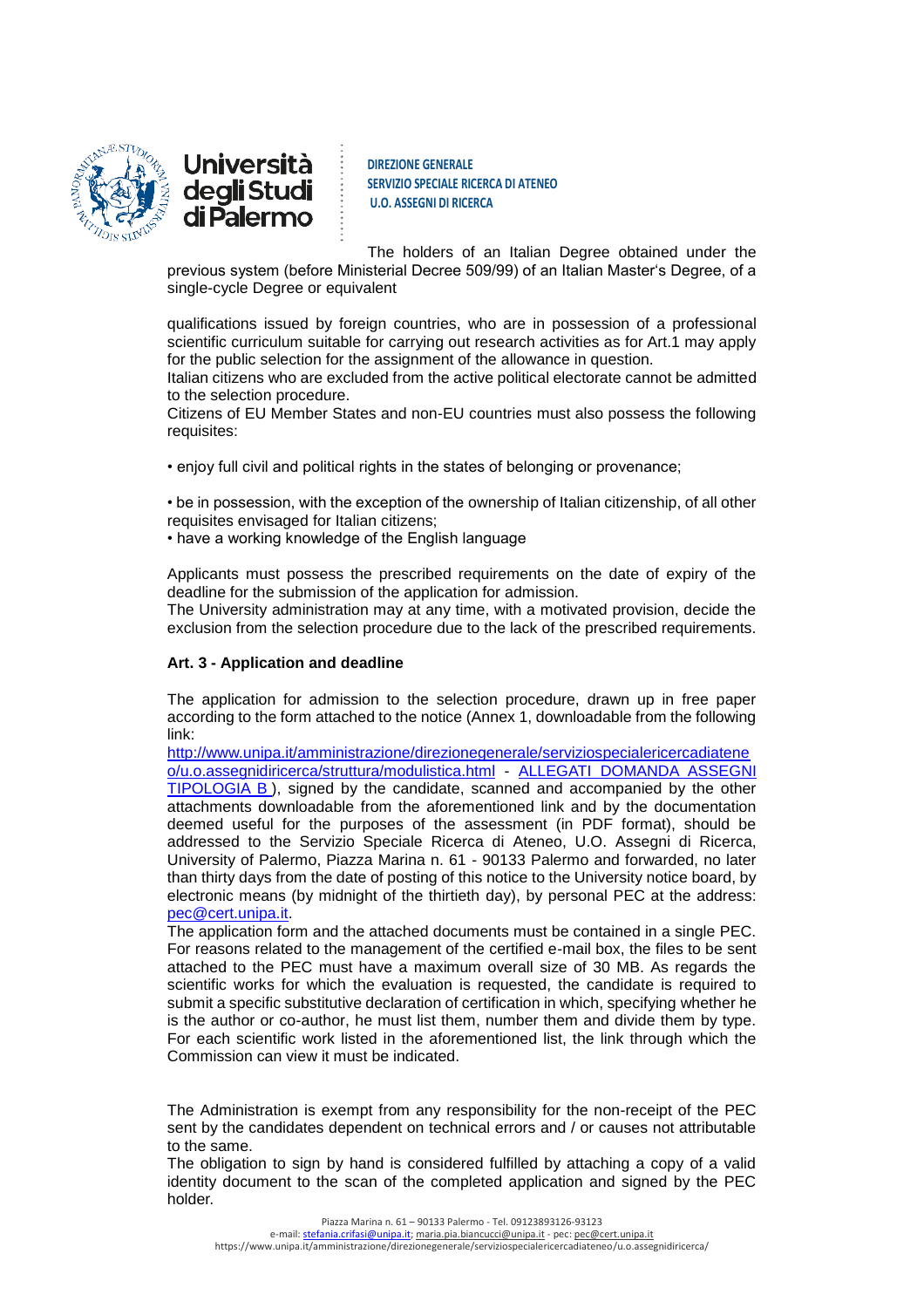

**DIREZIONE GENERALE SERVIZIO SPECIALE RICERCA DI ATENEO U.O. ASSEGNI DI RICERCA**

The holders of an Italian Degree obtained under the previous system (before Ministerial Decree 509/99) of an Italian Master's Degree, of a single-cycle Degree or equivalent

qualifications issued by foreign countries, who are in possession of a professional scientific curriculum suitable for carrying out research activities as for Art.1 may apply for the public selection for the assignment of the allowance in question.

Italian citizens who are excluded from the active political electorate cannot be admitted to the selection procedure.

Citizens of EU Member States and non-EU countries must also possess the following requisites:

• enjoy full civil and political rights in the states of belonging or provenance;

• be in possession, with the exception of the ownership of Italian citizenship, of all other requisites envisaged for Italian citizens;

• have a working knowledge of the English language

Applicants must possess the prescribed requirements on the date of expiry of the deadline for the submission of the application for admission.

The University administration may at any time, with a motivated provision, decide the exclusion from the selection procedure due to the lack of the prescribed requirements.

# **Art. 3 - Application and deadline**

The application for admission to the selection procedure, drawn up in free paper according to the form attached to the notice (Annex 1, downloadable from the following link:

[http://www.unipa.it/amministrazione/direzionegenerale/serviziospecialericercadiatene](http://www.unipa.it/amministrazione/direzionegenerale/serviziospecialericercadiateneo/u.o.assegnidiricerca/struttura/modulistica.html) [o/u.o.assegnidiricerca/struttura/modulistica.html](http://www.unipa.it/amministrazione/direzionegenerale/serviziospecialericercadiateneo/u.o.assegnidiricerca/struttura/modulistica.html) - [ALLEGATI DOMANDA ASSEGNI](http://www.unipa.it/amministrazione/direzionegenerale/serviziospecialericercadiateneo/u.o.assegnidiricerca/.content/documenti/allegati_domanda_ass._tipologia_b_.doc)  [TIPOLOGIA B](http://www.unipa.it/amministrazione/direzionegenerale/serviziospecialericercadiateneo/u.o.assegnidiricerca/.content/documenti/allegati_domanda_ass._tipologia_b_.doc) ), signed by the candidate, scanned and accompanied by the other attachments downloadable from the aforementioned link and by the documentation deemed useful for the purposes of the assessment (in PDF format), should be addressed to the Servizio Speciale Ricerca di Ateneo, U.O. Assegni di Ricerca, University of Palermo, Piazza Marina n. 61 - 90133 Palermo and forwarded, no later than thirty days from the date of posting of this notice to the University notice board, by electronic means (by midnight of the thirtieth day), by personal PEC at the address: [pec@cert.unipa.it.](mailto:pec@cert.unipa.it)

The application form and the attached documents must be contained in a single PEC. For reasons related to the management of the certified e-mail box, the files to be sent attached to the PEC must have a maximum overall size of 30 MB. As regards the scientific works for which the evaluation is requested, the candidate is required to submit a specific substitutive declaration of certification in which, specifying whether he is the author or co-author, he must list them, number them and divide them by type. For each scientific work listed in the aforementioned list, the link through which the Commission can view it must be indicated.

The Administration is exempt from any responsibility for the non-receipt of the PEC sent by the candidates dependent on technical errors and / or causes not attributable to the same.

The obligation to sign by hand is considered fulfilled by attaching a copy of a valid identity document to the scan of the completed application and signed by the PEC holder.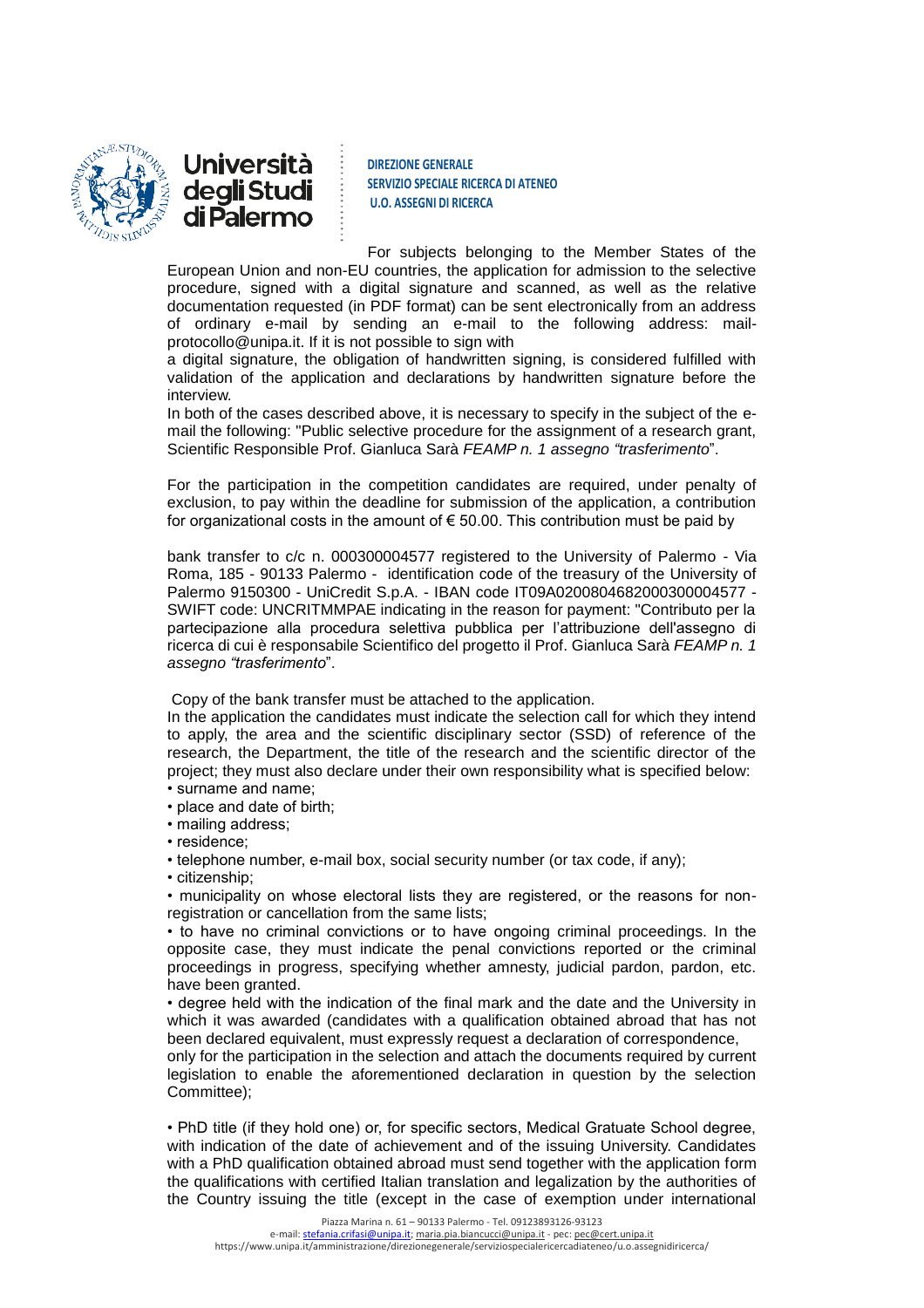



For subjects belonging to the Member States of the European Union and non-EU countries, the application for admission to the selective procedure, signed with a digital signature and scanned, as well as the relative documentation requested (in PDF format) can be sent electronically from an address of ordinary e-mail by sending an e-mail to the following address: mailprotocollo@unipa.it. If it is not possible to sign with

a digital signature, the obligation of handwritten signing, is considered fulfilled with validation of the application and declarations by handwritten signature before the interview.

In both of the cases described above, it is necessary to specify in the subject of the email the following: "Public selective procedure for the assignment of a research grant, Scientific Responsible Prof. Gianluca Sarà *FEAMP n. 1 assegno "trasferimento*".

For the participation in the competition candidates are required, under penalty of exclusion, to pay within the deadline for submission of the application, a contribution for organizational costs in the amount of  $\epsilon$  50.00. This contribution must be paid by

bank transfer to c/c n. 000300004577 registered to the University of Palermo - Via Roma, 185 - 90133 Palermo - identification code of the treasury of the University of Palermo 9150300 - UniCredit S.p.A. - IBAN code IT09A0200804682000300004577 - SWIFT code: UNCRITMMPAE indicating in the reason for payment: "Contributo per la partecipazione alla procedura selettiva pubblica per l'attribuzione dell'assegno di ricerca di cui è responsabile Scientifico del progetto il Prof. Gianluca Sarà *FEAMP n. 1 assegno "trasferimento*".

Copy of the bank transfer must be attached to the application.

In the application the candidates must indicate the selection call for which they intend to apply, the area and the scientific disciplinary sector (SSD) of reference of the research, the Department, the title of the research and the scientific director of the project; they must also declare under their own responsibility what is specified below: • surname and name;

- place and date of birth;
- mailing address;
- residence;
- telephone number, e-mail box, social security number (or tax code, if any);
- citizenship;

• municipality on whose electoral lists they are registered, or the reasons for nonregistration or cancellation from the same lists;

• to have no criminal convictions or to have ongoing criminal proceedings. In the opposite case, they must indicate the penal convictions reported or the criminal proceedings in progress, specifying whether amnesty, judicial pardon, pardon, etc. have been granted.

• degree held with the indication of the final mark and the date and the University in which it was awarded (candidates with a qualification obtained abroad that has not been declared equivalent, must expressly request a declaration of correspondence,

only for the participation in the selection and attach the documents required by current legislation to enable the aforementioned declaration in question by the selection Committee);

• PhD title (if they hold one) or, for specific sectors, Medical Gratuate School degree, with indication of the date of achievement and of the issuing University. Candidates with a PhD qualification obtained abroad must send together with the application form the qualifications with certified Italian translation and legalization by the authorities of the Country issuing the title (except in the case of exemption under international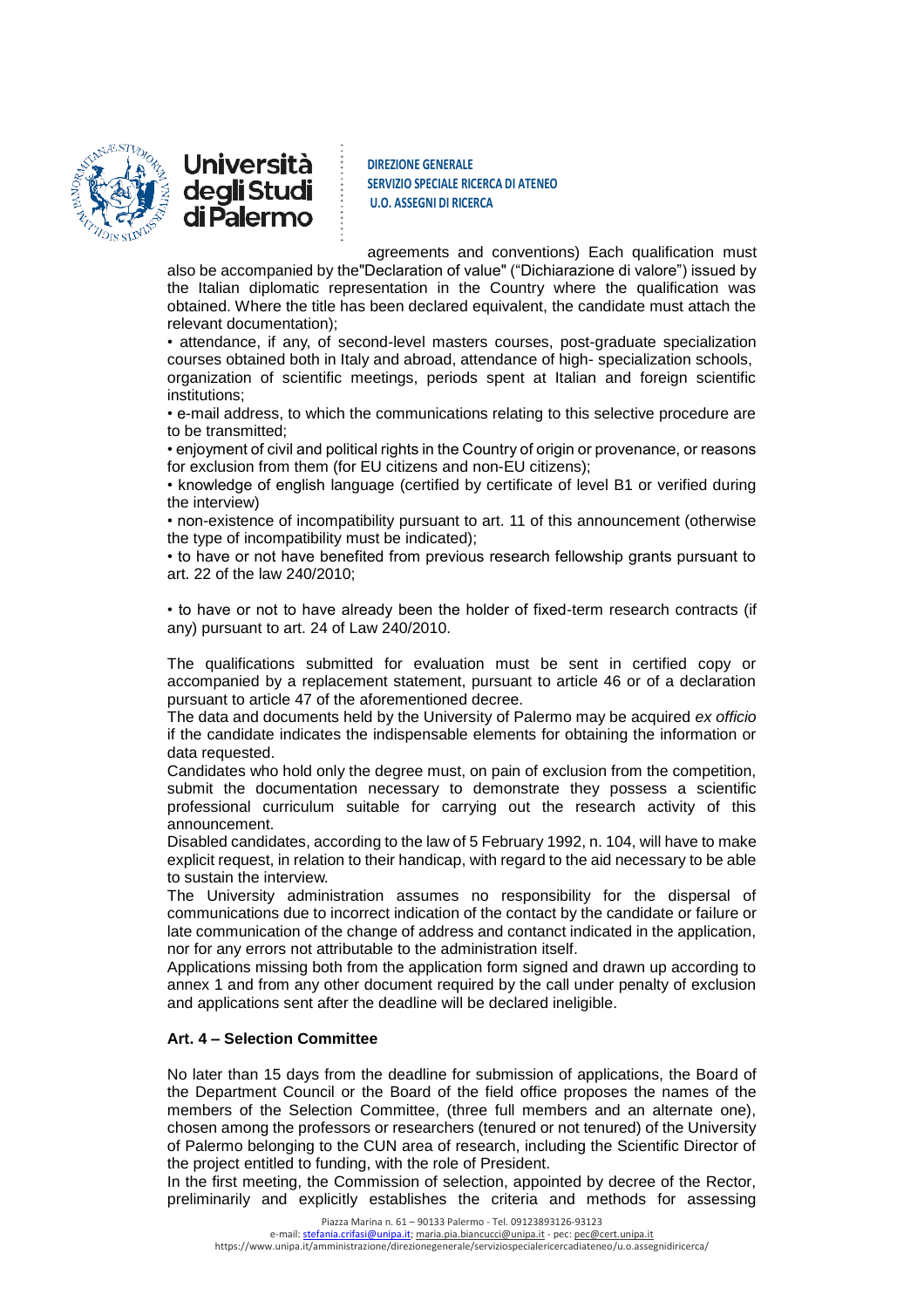



agreements and conventions) Each qualification must also be accompanied by the"Declaration of value" ("Dichiarazione di valore") issued by the Italian diplomatic representation in the Country where the qualification was obtained. Where the title has been declared equivalent, the candidate must attach the relevant documentation);

• attendance, if any, of second-level masters courses, post-graduate specialization courses obtained both in Italy and abroad, attendance of high- specialization schools, organization of scientific meetings, periods spent at Italian and foreign scientific institutions;

• e-mail address, to which the communications relating to this selective procedure are to be transmitted;

• enjoyment of civil and political rights in the Country of origin or provenance, or reasons for exclusion from them (for EU citizens and non-EU citizens);

• knowledge of english language (certified by certificate of level B1 or verified during the interview)

• non-existence of incompatibility pursuant to art. 11 of this announcement (otherwise the type of incompatibility must be indicated);

• to have or not have benefited from previous research fellowship grants pursuant to art. 22 of the law 240/2010;

• to have or not to have already been the holder of fixed-term research contracts (if any) pursuant to art. 24 of Law 240/2010.

The qualifications submitted for evaluation must be sent in certified copy or accompanied by a replacement statement, pursuant to article 46 or of a declaration pursuant to article 47 of the aforementioned decree.

The data and documents held by the University of Palermo may be acquired *ex officio* if the candidate indicates the indispensable elements for obtaining the information or data requested.

Candidates who hold only the degree must, on pain of exclusion from the competition, submit the documentation necessary to demonstrate they possess a scientific professional curriculum suitable for carrying out the research activity of this announcement.

Disabled candidates, according to the law of 5 February 1992, n. 104, will have to make explicit request, in relation to their handicap, with regard to the aid necessary to be able to sustain the interview.

The University administration assumes no responsibility for the dispersal of communications due to incorrect indication of the contact by the candidate or failure or late communication of the change of address and contanct indicated in the application, nor for any errors not attributable to the administration itself.

Applications missing both from the application form signed and drawn up according to annex 1 and from any other document required by the call under penalty of exclusion and applications sent after the deadline will be declared ineligible.

# **Art. 4 – Selection Committee**

No later than 15 days from the deadline for submission of applications, the Board of the Department Council or the Board of the field office proposes the names of the members of the Selection Committee, (three full members and an alternate one), chosen among the professors or researchers (tenured or not tenured) of the University of Palermo belonging to the CUN area of research, including the Scientific Director of the project entitled to funding, with the role of President.

In the first meeting, the Commission of selection, appointed by decree of the Rector, preliminarily and explicitly establishes the criteria and methods for assessing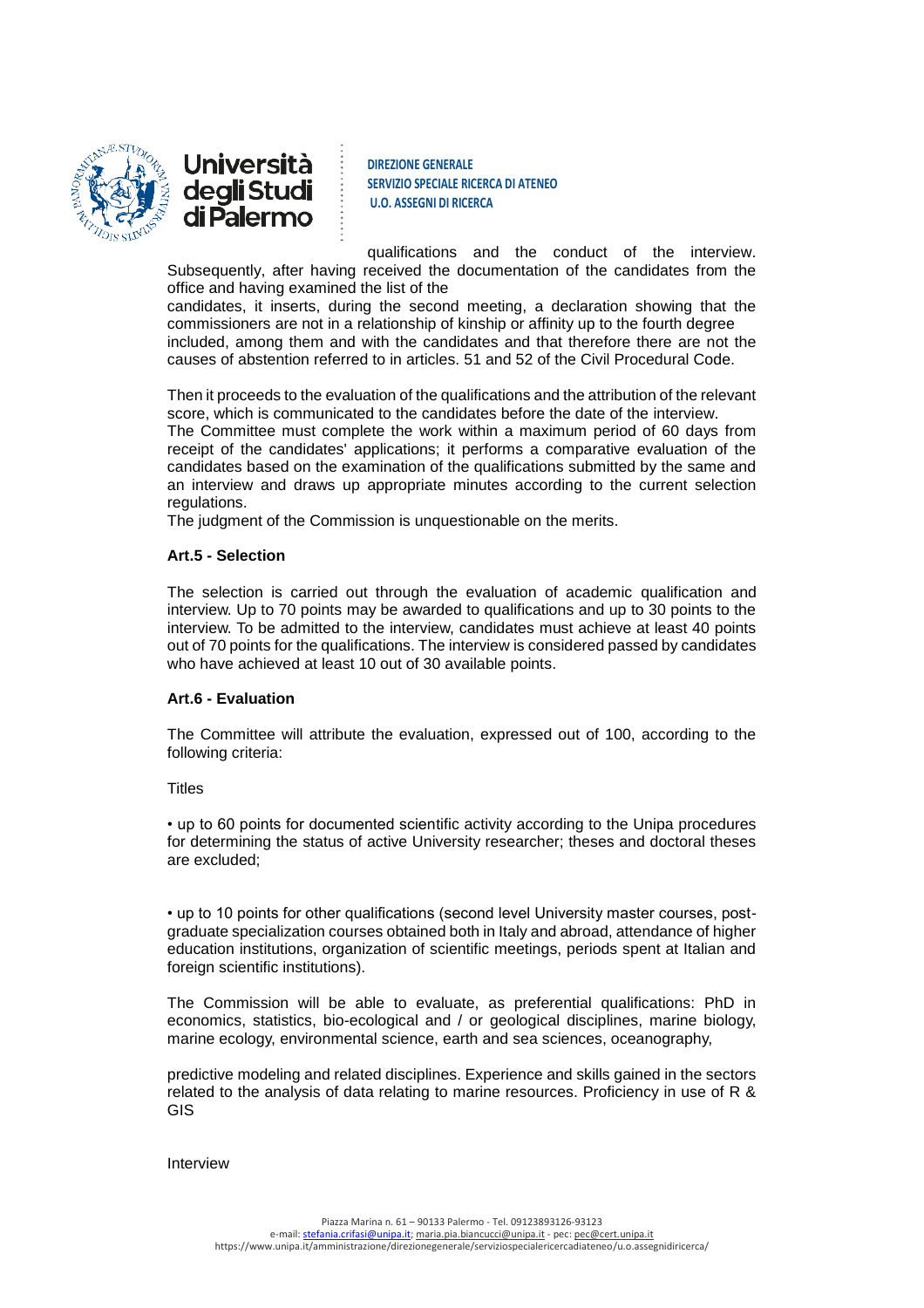



qualifications and the conduct of the interview. Subsequently, after having received the documentation of the candidates from the office and having examined the list of the

candidates, it inserts, during the second meeting, a declaration showing that the commissioners are not in a relationship of kinship or affinity up to the fourth degree included, among them and with the candidates and that therefore there are not the causes of abstention referred to in articles. 51 and 52 of the Civil Procedural Code.

Then it proceeds to the evaluation of the qualifications and the attribution of the relevant score, which is communicated to the candidates before the date of the interview.

The Committee must complete the work within a maximum period of 60 days from receipt of the candidates' applications; it performs a comparative evaluation of the candidates based on the examination of the qualifications submitted by the same and an interview and draws up appropriate minutes according to the current selection regulations.

The judgment of the Commission is unquestionable on the merits.

### **Art.5 - Selection**

The selection is carried out through the evaluation of academic qualification and interview. Up to 70 points may be awarded to qualifications and up to 30 points to the interview. To be admitted to the interview, candidates must achieve at least 40 points out of 70 points for the qualifications. The interview is considered passed by candidates who have achieved at least 10 out of 30 available points.

### **Art.6 - Evaluation**

The Committee will attribute the evaluation, expressed out of 100, according to the following criteria:

### **Titles**

• up to 60 points for documented scientific activity according to the Unipa procedures for determining the status of active University researcher; theses and doctoral theses are excluded;

• up to 10 points for other qualifications (second level University master courses, postgraduate specialization courses obtained both in Italy and abroad, attendance of higher education institutions, organization of scientific meetings, periods spent at Italian and foreign scientific institutions).

The Commission will be able to evaluate, as preferential qualifications: PhD in economics, statistics, bio-ecological and / or geological disciplines, marine biology, marine ecology, environmental science, earth and sea sciences, oceanography,

predictive modeling and related disciplines. Experience and skills gained in the sectors related to the analysis of data relating to marine resources. Proficiency in use of R & GIS

Interview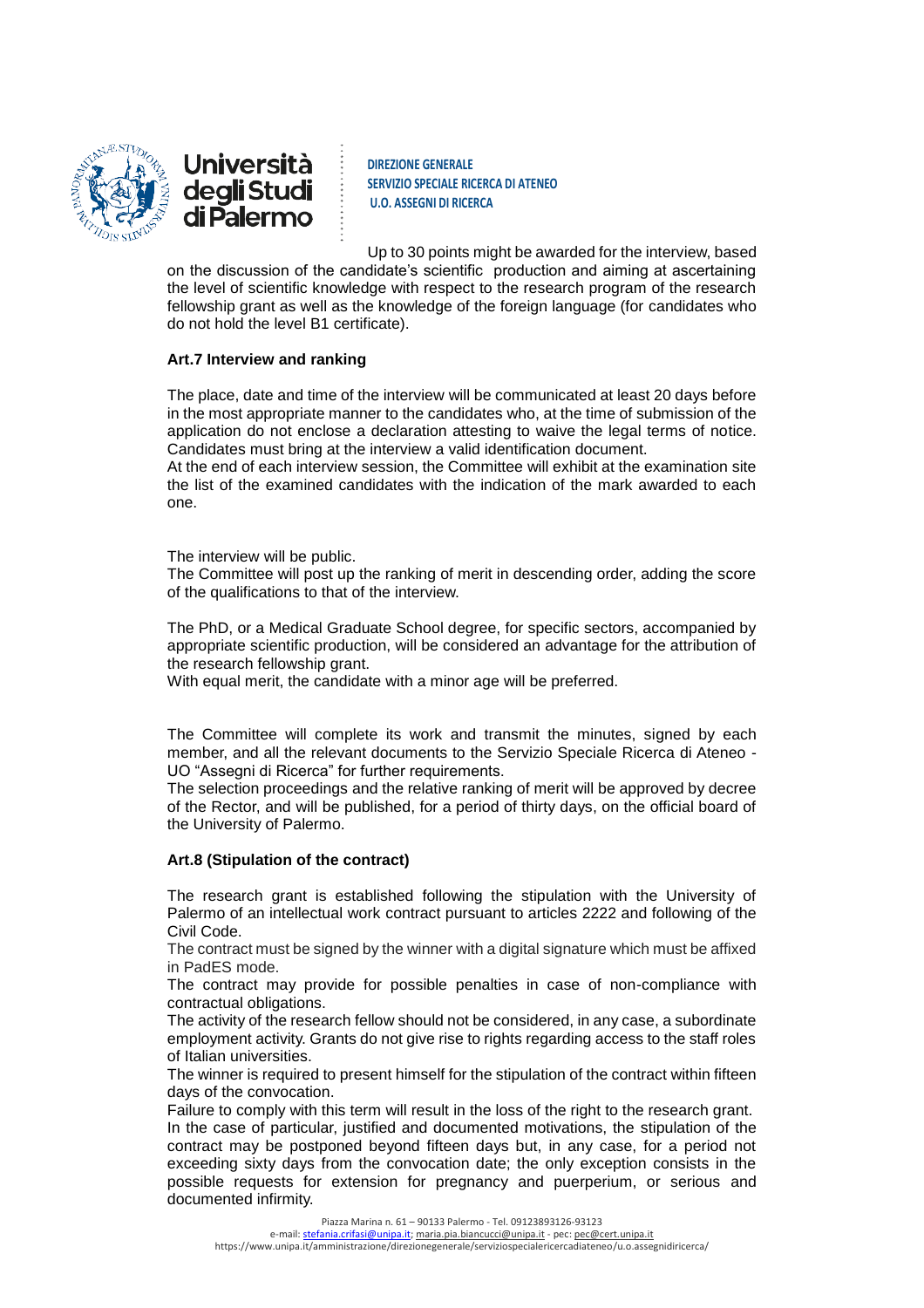



Up to 30 points might be awarded for the interview, based

on the discussion of the candidate's scientific production and aiming at ascertaining the level of scientific knowledge with respect to the research program of the research fellowship grant as well as the knowledge of the foreign language (for candidates who do not hold the level B1 certificate).

## **Art.7 Interview and ranking**

The place, date and time of the interview will be communicated at least 20 days before in the most appropriate manner to the candidates who, at the time of submission of the application do not enclose a declaration attesting to waive the legal terms of notice. Candidates must bring at the interview a valid identification document.

At the end of each interview session, the Committee will exhibit at the examination site the list of the examined candidates with the indication of the mark awarded to each one.

The interview will be public.

The Committee will post up the ranking of merit in descending order, adding the score of the qualifications to that of the interview.

The PhD, or a Medical Graduate School degree, for specific sectors, accompanied by appropriate scientific production, will be considered an advantage for the attribution of the research fellowship grant.

With equal merit, the candidate with a minor age will be preferred.

The Committee will complete its work and transmit the minutes, signed by each member, and all the relevant documents to the Servizio Speciale Ricerca di Ateneo - UO "Assegni di Ricerca" for further requirements.

The selection proceedings and the relative ranking of merit will be approved by decree of the Rector, and will be published, for a period of thirty days, on the official board of the University of Palermo.

### **Art.8 (Stipulation of the contract)**

The research grant is established following the stipulation with the University of Palermo of an intellectual work contract pursuant to articles 2222 and following of the Civil Code.

The contract must be signed by the winner with a digital signature which must be affixed in PadES mode.

The contract may provide for possible penalties in case of non-compliance with contractual obligations.

The activity of the research fellow should not be considered, in any case, a subordinate employment activity. Grants do not give rise to rights regarding access to the staff roles of Italian universities.

The winner is required to present himself for the stipulation of the contract within fifteen days of the convocation.

Failure to comply with this term will result in the loss of the right to the research grant. In the case of particular, justified and documented motivations, the stipulation of the contract may be postponed beyond fifteen days but, in any case, for a period not exceeding sixty days from the convocation date; the only exception consists in the possible requests for extension for pregnancy and puerperium, or serious and documented infirmity.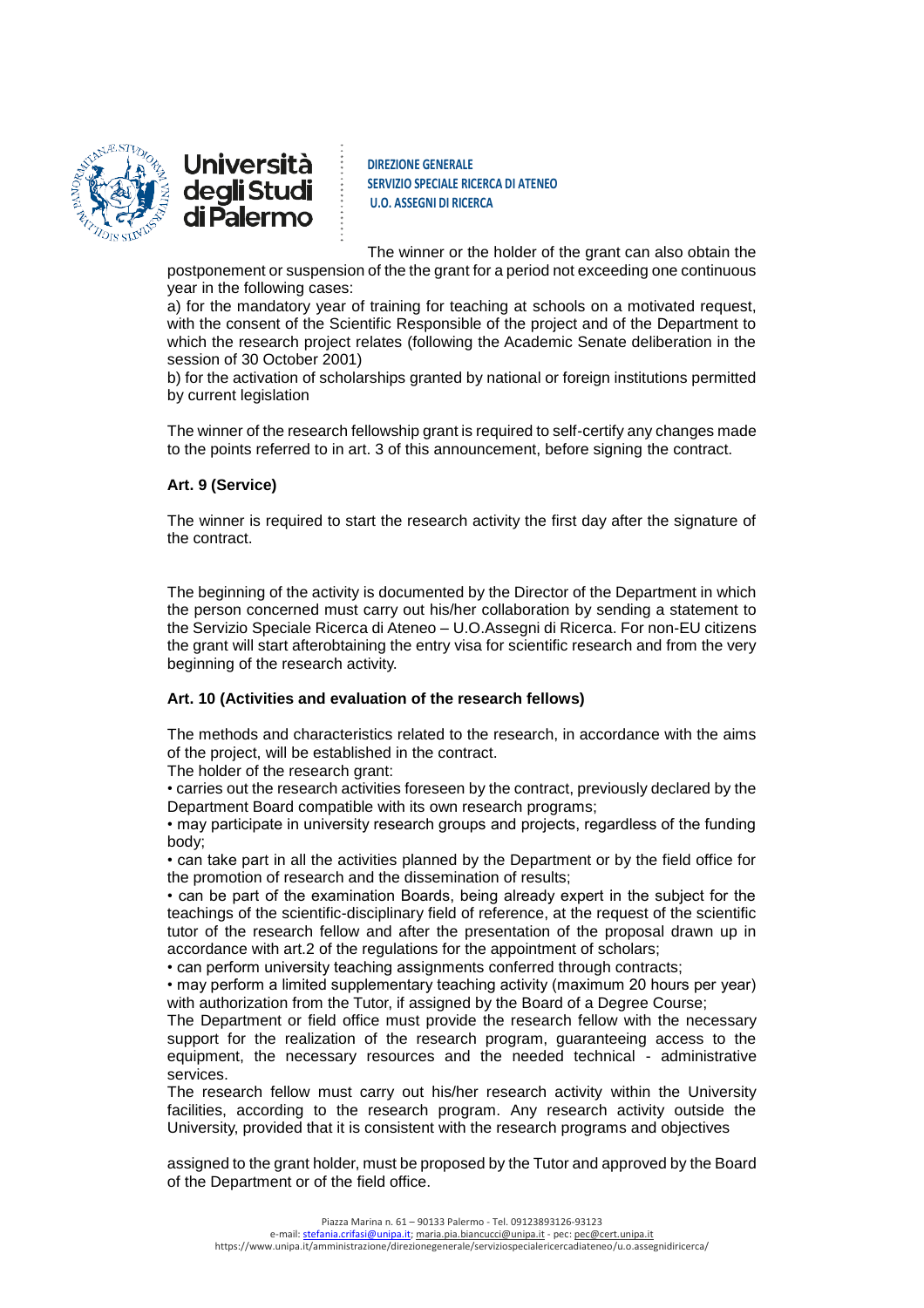

**DIREZIONE GENERALE SERVIZIO SPECIALE RICERCA DI ATENEO U.O. ASSEGNI DI RICERCA**

The winner or the holder of the grant can also obtain the

postponement or suspension of the the grant for a period not exceeding one continuous year in the following cases:

a) for the mandatory year of training for teaching at schools on a motivated request, with the consent of the Scientific Responsible of the project and of the Department to which the research project relates (following the Academic Senate deliberation in the session of 30 October 2001)

b) for the activation of scholarships granted by national or foreign institutions permitted by current legislation

The winner of the research fellowship grant is required to self-certify any changes made to the points referred to in art. 3 of this announcement, before signing the contract.

# **Art. 9 (Service)**

The winner is required to start the research activity the first day after the signature of the contract.

The beginning of the activity is documented by the Director of the Department in which the person concerned must carry out his/her collaboration by sending a statement to the Servizio Speciale Ricerca di Ateneo – U.O.Assegni di Ricerca. For non-EU citizens the grant will start afterobtaining the entry visa for scientific research and from the very beginning of the research activity.

# **Art. 10 (Activities and evaluation of the research fellows)**

The methods and characteristics related to the research, in accordance with the aims of the project, will be established in the contract.

The holder of the research grant:

• carries out the research activities foreseen by the contract, previously declared by the Department Board compatible with its own research programs;

• may participate in university research groups and projects, regardless of the funding body;

• can take part in all the activities planned by the Department or by the field office for the promotion of research and the dissemination of results;

• can be part of the examination Boards, being already expert in the subject for the teachings of the scientific-disciplinary field of reference, at the request of the scientific tutor of the research fellow and after the presentation of the proposal drawn up in accordance with art.2 of the regulations for the appointment of scholars;

• can perform university teaching assignments conferred through contracts;

• may perform a limited supplementary teaching activity (maximum 20 hours per year) with authorization from the Tutor, if assigned by the Board of a Degree Course;

The Department or field office must provide the research fellow with the necessary support for the realization of the research program, guaranteeing access to the equipment, the necessary resources and the needed technical - administrative services.

The research fellow must carry out his/her research activity within the University facilities, according to the research program. Any research activity outside the University, provided that it is consistent with the research programs and objectives

assigned to the grant holder, must be proposed by the Tutor and approved by the Board of the Department or of the field office.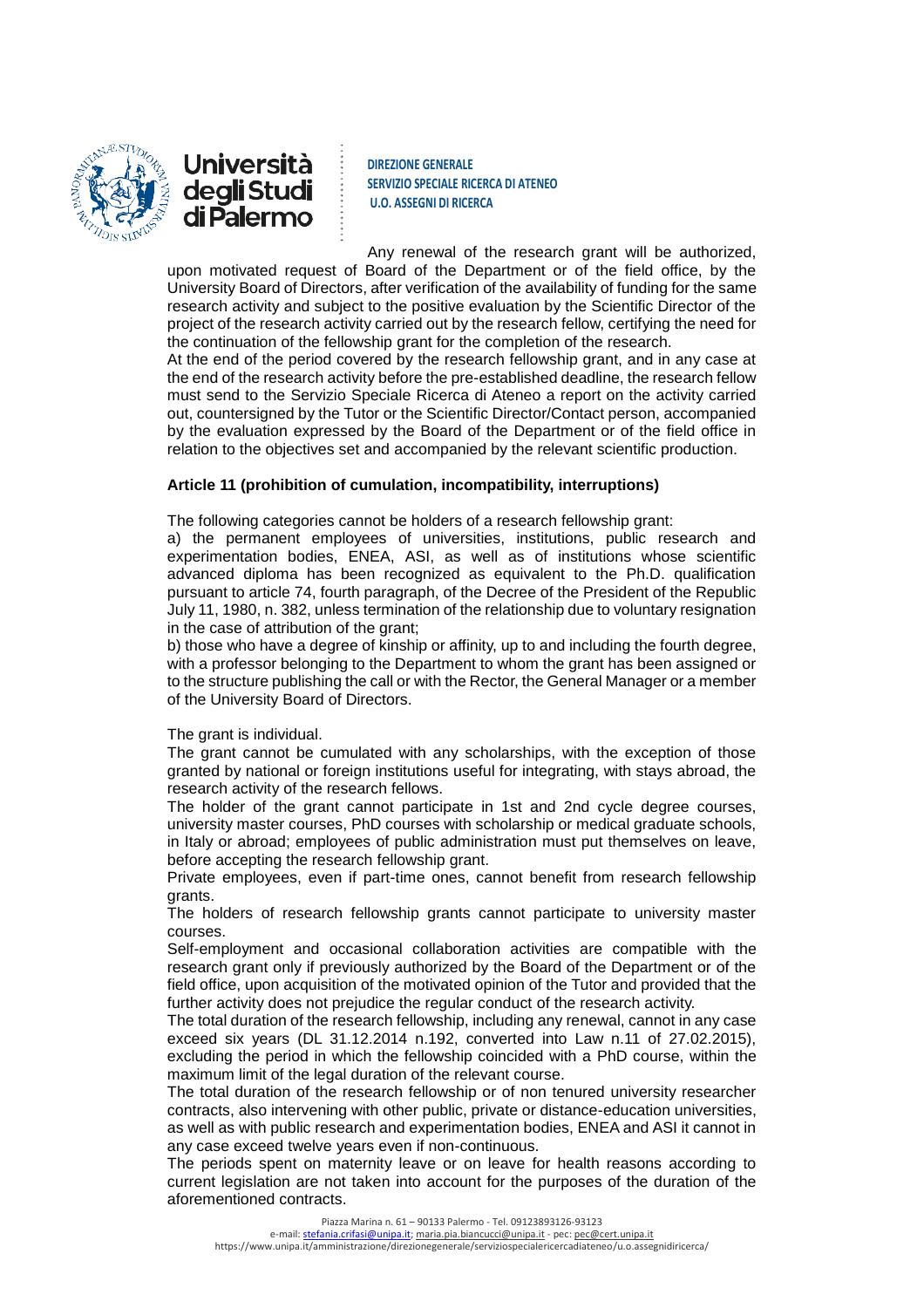

**DIREZIONE GENERALE SERVIZIO SPECIALE RICERCA DI ATENEO U.O. ASSEGNI DI RICERCA**

Any renewal of the research grant will be authorized, upon motivated request of Board of the Department or of the field office, by the University Board of Directors, after verification of the availability of funding for the same research activity and subject to the positive evaluation by the Scientific Director of the project of the research activity carried out by the research fellow, certifying the need for the continuation of the fellowship grant for the completion of the research.

At the end of the period covered by the research fellowship grant, and in any case at the end of the research activity before the pre-established deadline, the research fellow must send to the Servizio Speciale Ricerca di Ateneo a report on the activity carried out, countersigned by the Tutor or the Scientific Director/Contact person, accompanied by the evaluation expressed by the Board of the Department or of the field office in relation to the objectives set and accompanied by the relevant scientific production.

# **Article 11 (prohibition of cumulation, incompatibility, interruptions)**

The following categories cannot be holders of a research fellowship grant:

a) the permanent employees of universities, institutions, public research and experimentation bodies, ENEA, ASI, as well as of institutions whose scientific advanced diploma has been recognized as equivalent to the Ph.D. qualification pursuant to article 74, fourth paragraph, of the Decree of the President of the Republic July 11, 1980, n. 382, unless termination of the relationship due to voluntary resignation in the case of attribution of the grant;

b) those who have a degree of kinship or affinity, up to and including the fourth degree, with a professor belonging to the Department to whom the grant has been assigned or to the structure publishing the call or with the Rector, the General Manager or a member of the University Board of Directors.

### The grant is individual.

The grant cannot be cumulated with any scholarships, with the exception of those granted by national or foreign institutions useful for integrating, with stays abroad, the research activity of the research fellows.

The holder of the grant cannot participate in 1st and 2nd cycle degree courses, university master courses, PhD courses with scholarship or medical graduate schools, in Italy or abroad; employees of public administration must put themselves on leave, before accepting the research fellowship grant.

Private employees, even if part-time ones, cannot benefit from research fellowship grants.

The holders of research fellowship grants cannot participate to university master courses.

Self-employment and occasional collaboration activities are compatible with the research grant only if previously authorized by the Board of the Department or of the field office, upon acquisition of the motivated opinion of the Tutor and provided that the further activity does not prejudice the regular conduct of the research activity.

The total duration of the research fellowship, including any renewal, cannot in any case exceed six years (DL 31.12.2014 n.192, converted into Law n.11 of 27.02.2015), excluding the period in which the fellowship coincided with a PhD course, within the maximum limit of the legal duration of the relevant course.

The total duration of the research fellowship or of non tenured university researcher contracts, also intervening with other public, private or distance-education universities, as well as with public research and experimentation bodies, ENEA and ASI it cannot in any case exceed twelve years even if non-continuous.

The periods spent on maternity leave or on leave for health reasons according to current legislation are not taken into account for the purposes of the duration of the aforementioned contracts.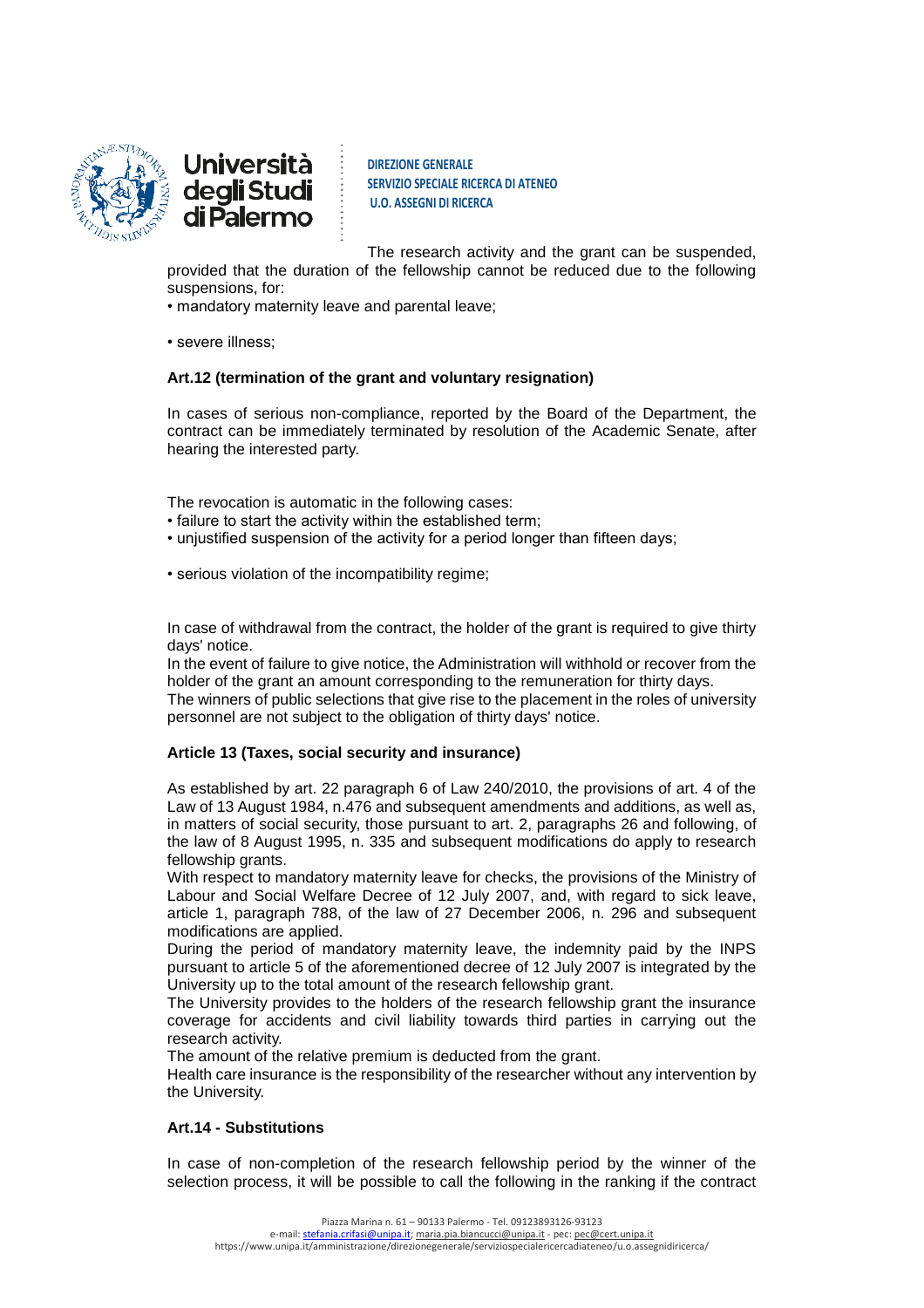

**DIREZIONE GENERALE SERVIZIO SPECIALE RICERCA DI ATENEO U.O. ASSEGNI DI RICERCA**

The research activity and the grant can be suspended, provided that the duration of the fellowship cannot be reduced due to the following

suspensions, for:

• mandatory maternity leave and parental leave;

• severe illness;

# **Art.12 (termination of the grant and voluntary resignation)**

In cases of serious non-compliance, reported by the Board of the Department, the contract can be immediately terminated by resolution of the Academic Senate, after hearing the interested party.

The revocation is automatic in the following cases:

- failure to start the activity within the established term;
- unjustified suspension of the activity for a period longer than fifteen days;

• serious violation of the incompatibility regime;

In case of withdrawal from the contract, the holder of the grant is required to give thirty days' notice.

In the event of failure to give notice, the Administration will withhold or recover from the holder of the grant an amount corresponding to the remuneration for thirty days.

The winners of public selections that give rise to the placement in the roles of university personnel are not subject to the obligation of thirty days' notice.

# **Article 13 (Taxes, social security and insurance)**

As established by art. 22 paragraph 6 of Law 240/2010, the provisions of art. 4 of the Law of 13 August 1984, n.476 and subsequent amendments and additions, as well as, in matters of social security, those pursuant to art. 2, paragraphs 26 and following, of the law of 8 August 1995, n. 335 and subsequent modifications do apply to research fellowship grants.

With respect to mandatory maternity leave for checks, the provisions of the Ministry of Labour and Social Welfare Decree of 12 July 2007, and, with regard to sick leave, article 1, paragraph 788, of the law of 27 December 2006, n. 296 and subsequent modifications are applied.

During the period of mandatory maternity leave, the indemnity paid by the INPS pursuant to article 5 of the aforementioned decree of 12 July 2007 is integrated by the University up to the total amount of the research fellowship grant.

The University provides to the holders of the research fellowship grant the insurance coverage for accidents and civil liability towards third parties in carrying out the research activity.

The amount of the relative premium is deducted from the grant.

Health care insurance is the responsibility of the researcher without any intervention by the University.

# **Art.14 - Substitutions**

In case of non-completion of the research fellowship period by the winner of the selection process, it will be possible to call the following in the ranking if the contract